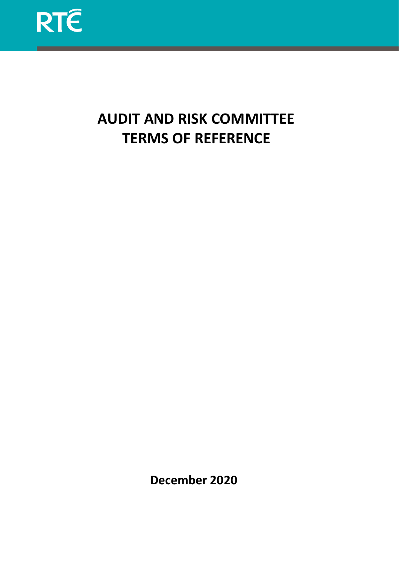

# **AUDIT AND RISK COMMITTEE TERMS OF REFERENCE**

**December 2020**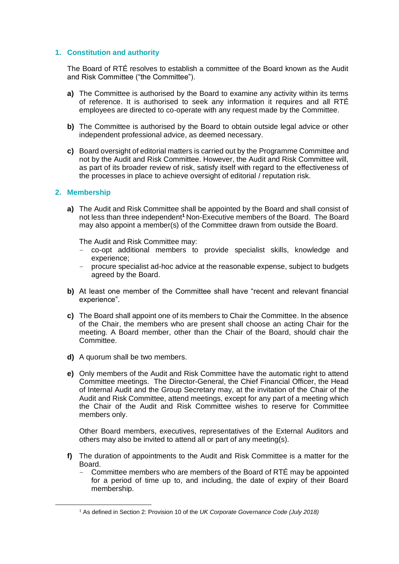# **1. Constitution and authority**

The Board of RTÉ resolves to establish a committee of the Board known as the Audit and Risk Committee ("the Committee").

- **a)** The Committee is authorised by the Board to examine any activity within its terms of reference. It is authorised to seek any information it requires and all RTÉ employees are directed to co-operate with any request made by the Committee.
- **b)** The Committee is authorised by the Board to obtain outside legal advice or other independent professional advice, as deemed necessary.
- **c)** Board oversight of editorial matters is carried out by the Programme Committee and not by the Audit and Risk Committee. However, the Audit and Risk Committee will, as part of its broader review of risk, satisfy itself with regard to the effectiveness of the processes in place to achieve oversight of editorial / reputation risk.

#### **2. Membership**

**a)** The Audit and Risk Committee shall be appointed by the Board and shall consist of not less than three independent**<sup>1</sup>** Non-Executive members of the Board. The Board may also appoint a member(s) of the Committee drawn from outside the Board.

The Audit and Risk Committee may:

- − co-opt additional members to provide specialist skills, knowledge and experience;
- − procure specialist ad-hoc advice at the reasonable expense, subject to budgets agreed by the Board.
- **b)** At least one member of the Committee shall have "recent and relevant financial experience".
- **c)** The Board shall appoint one of its members to Chair the Committee. In the absence of the Chair, the members who are present shall choose an acting Chair for the meeting. A Board member, other than the Chair of the Board, should chair the Committee.
- **d)** A quorum shall be two members.
- **e)** Only members of the Audit and Risk Committee have the automatic right to attend Committee meetings. The Director-General, the Chief Financial Officer, the Head of Internal Audit and the Group Secretary may, at the invitation of the Chair of the Audit and Risk Committee, attend meetings, except for any part of a meeting which the Chair of the Audit and Risk Committee wishes to reserve for Committee members only.

Other Board members, executives, representatives of the External Auditors and others may also be invited to attend all or part of any meeting(s).

- **f)** The duration of appointments to the Audit and Risk Committee is a matter for the Board.
	- Committee members who are members of the Board of RTÉ may be appointed for a period of time up to, and including, the date of expiry of their Board membership.

<sup>1</sup> As defined in Section 2: Provision 10 of the *UK Corporate Governance Code (July 2018)*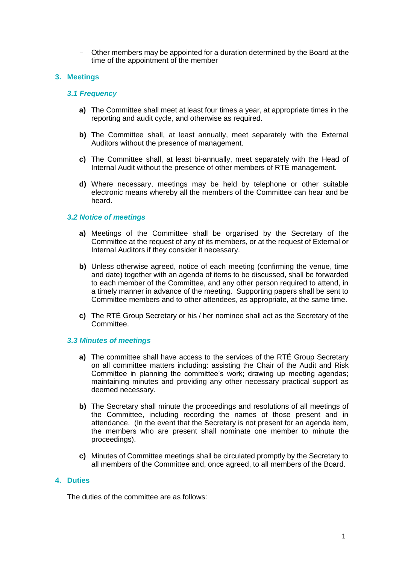− Other members may be appointed for a duration determined by the Board at the time of the appointment of the member

# **3. Meetings**

## *3.1 Frequency*

- **a)** The Committee shall meet at least four times a year, at appropriate times in the reporting and audit cycle, and otherwise as required.
- **b)** The Committee shall, at least annually, meet separately with the External Auditors without the presence of management.
- **c)** The Committee shall, at least bi-annually, meet separately with the Head of Internal Audit without the presence of other members of RTÉ management.
- **d)** Where necessary, meetings may be held by telephone or other suitable electronic means whereby all the members of the Committee can hear and be heard.

# *3.2 Notice of meetings*

- **a)** Meetings of the Committee shall be organised by the Secretary of the Committee at the request of any of its members, or at the request of External or Internal Auditors if they consider it necessary.
- **b)** Unless otherwise agreed, notice of each meeting (confirming the venue, time and date) together with an agenda of items to be discussed, shall be forwarded to each member of the Committee, and any other person required to attend, in a timely manner in advance of the meeting. Supporting papers shall be sent to Committee members and to other attendees, as appropriate, at the same time.
- **c)** The RTÉ Group Secretary or his / her nominee shall act as the Secretary of the Committee.

## *3.3 Minutes of meetings*

- **a)** The committee shall have access to the services of the RTÉ Group Secretary on all committee matters including: assisting the Chair of the Audit and Risk Committee in planning the committee's work; drawing up meeting agendas; maintaining minutes and providing any other necessary practical support as deemed necessary.
- **b)** The Secretary shall minute the proceedings and resolutions of all meetings of the Committee, including recording the names of those present and in attendance. (In the event that the Secretary is not present for an agenda item, the members who are present shall nominate one member to minute the proceedings).
- **c)** Minutes of Committee meetings shall be circulated promptly by the Secretary to all members of the Committee and, once agreed, to all members of the Board.

## **4. Duties**

The duties of the committee are as follows: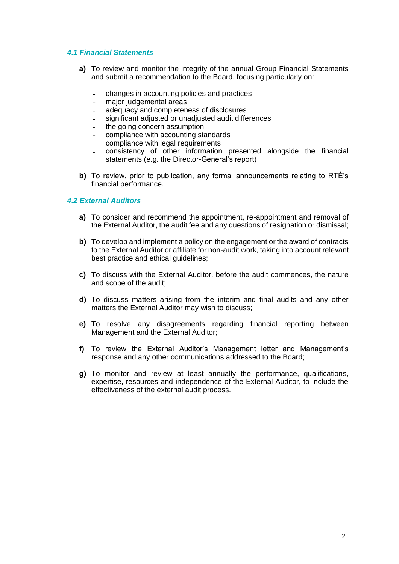# *4.1 Financial Statements*

- **a)** To review and monitor the integrity of the annual Group Financial Statements and submit a recommendation to the Board, focusing particularly on:
	- *-* changes in accounting policies and practices
	- *-* major judgemental areas
	- *-* adequacy and completeness of disclosures
	- *-* significant adjusted or unadjusted audit differences
	- *-* the going concern assumption
	- *-* compliance with accounting standards
	- *-* compliance with legal requirements
	- *-* consistency of other information presented alongside the financial statements (e.g. the Director-General's report)
- **b)** To review, prior to publication, any formal announcements relating to RTÉ's financial performance.

## *4.2 External Auditors*

- **a)** To consider and recommend the appointment, re-appointment and removal of the External Auditor, the audit fee and any questions of resignation or dismissal;
- **b)** To develop and implement a policy on the engagement or the award of contracts to the External Auditor or affiliate for non-audit work, taking into account relevant best practice and ethical guidelines;
- **c)** To discuss with the External Auditor, before the audit commences, the nature and scope of the audit;
- **d)** To discuss matters arising from the interim and final audits and any other matters the External Auditor may wish to discuss;
- **e)** To resolve any disagreements regarding financial reporting between Management and the External Auditor;
- **f)** To review the External Auditor's Management letter and Management's response and any other communications addressed to the Board;
- **g)** To monitor and review at least annually the performance, qualifications, expertise, resources and independence of the External Auditor, to include the effectiveness of the external audit process.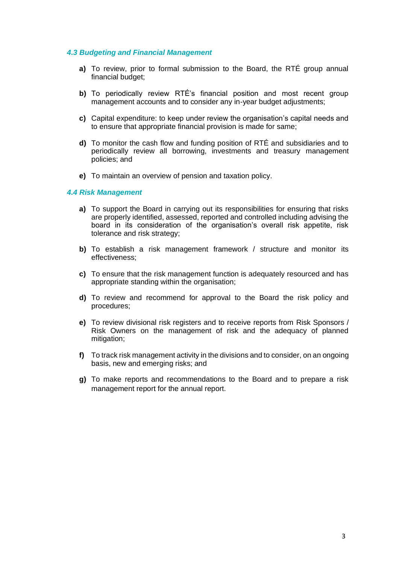## *4.3 Budgeting and Financial Management*

- **a)** To review, prior to formal submission to the Board, the RTÉ group annual financial budget;
- **b)** To periodically review RTÉ's financial position and most recent group management accounts and to consider any in-year budget adjustments;
- **c)** Capital expenditure: to keep under review the organisation's capital needs and to ensure that appropriate financial provision is made for same;
- **d)** To monitor the cash flow and funding position of RTÉ and subsidiaries and to periodically review all borrowing, investments and treasury management policies; and
- **e)** To maintain an overview of pension and taxation policy.

#### *4.4 Risk Management*

- **a)** To support the Board in carrying out its responsibilities for ensuring that risks are properly identified, assessed, reported and controlled including advising the board in its consideration of the organisation's overall risk appetite, risk tolerance and risk strategy;
- **b)** To establish a risk management framework / structure and monitor its effectiveness;
- **c)** To ensure that the risk management function is adequately resourced and has appropriate standing within the organisation;
- **d)** To review and recommend for approval to the Board the risk policy and procedures;
- **e)** To review divisional risk registers and to receive reports from Risk Sponsors / Risk Owners on the management of risk and the adequacy of planned mitigation;
- **f)** To track risk management activity in the divisions and to consider, on an ongoing basis, new and emerging risks; and
- **g)** To make reports and recommendations to the Board and to prepare a risk management report for the annual report.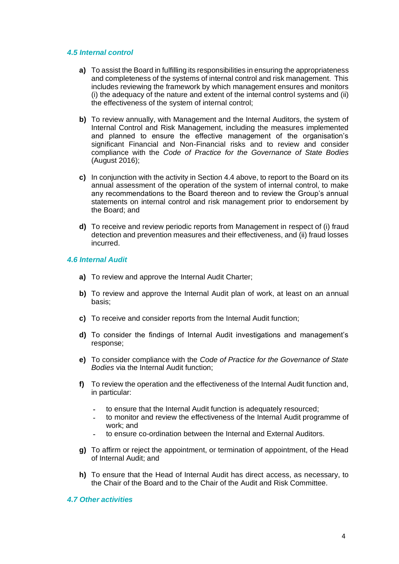#### *4.5 Internal control*

- **a)** To assist the Board in fulfilling its responsibilities in ensuring the appropriateness and completeness of the systems of internal control and risk management. This includes reviewing the framework by which management ensures and monitors (i) the adequacy of the nature and extent of the internal control systems and (ii) the effectiveness of the system of internal control;
- **b)** To review annually, with Management and the Internal Auditors, the system of Internal Control and Risk Management, including the measures implemented and planned to ensure the effective management of the organisation's significant Financial and Non-Financial risks and to review and consider compliance with the *Code of Practice for the Governance of State Bodies* (August 2016);
- **c)** In conjunction with the activity in Section 4.4 above, to report to the Board on its annual assessment of the operation of the system of internal control, to make any recommendations to the Board thereon and to review the Group's annual statements on internal control and risk management prior to endorsement by the Board; and
- **d)** To receive and review periodic reports from Management in respect of (i) fraud detection and prevention measures and their effectiveness, and (ii) fraud losses incurred.

#### *4.6 Internal Audit*

- **a)** To review and approve the Internal Audit Charter;
- **b)** To review and approve the Internal Audit plan of work, at least on an annual basis;
- **c)** To receive and consider reports from the Internal Audit function;
- **d)** To consider the findings of Internal Audit investigations and management's response;
- **e)** To consider compliance with the *Code of Practice for the Governance of State Bodies* via the Internal Audit function;
- **f)** To review the operation and the effectiveness of the Internal Audit function and, in particular:
	- *-* to ensure that the Internal Audit function is adequately resourced;
	- *-* to monitor and review the effectiveness of the Internal Audit programme of work; and
	- *-* to ensure co-ordination between the Internal and External Auditors.
- **g)** To affirm or reject the appointment, or termination of appointment, of the Head of Internal Audit; and
- **h)** To ensure that the Head of Internal Audit has direct access, as necessary, to the Chair of the Board and to the Chair of the Audit and Risk Committee.

## *4.7 Other activities*